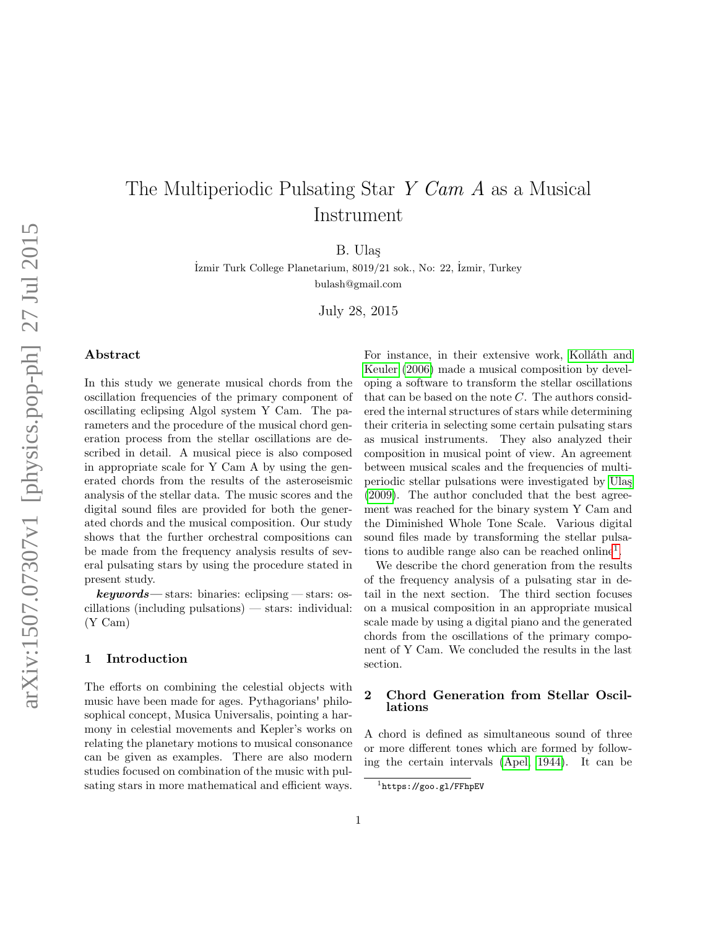# The Multiperiodic Pulsating Star Y Cam A as a Musical Instrument

B. Ula¸s

˙Izmir Turk College Planetarium, 8019/21 sok., No: 22, ˙Izmir, Turkey bulash@gmail.com

July 28, 2015

## Abstract

In this study we generate musical chords from the oscillation frequencies of the primary component of oscillating eclipsing Algol system Y Cam. The parameters and the procedure of the musical chord generation process from the stellar oscillations are described in detail. A musical piece is also composed in appropriate scale for Y Cam A by using the generated chords from the results of the asteroseismic analysis of the stellar data. The music scores and the digital sound files are provided for both the generated chords and the musical composition. Our study shows that the further orchestral compositions can be made from the frequency analysis results of several pulsating stars by using the procedure stated in present study.

 $keywords$ — stars: binaries: eclipsing — stars: oscillations (including pulsations) — stars: individual: (Y Cam)

### 1 Introduction

The efforts on combining the celestial objects with music have been made for ages. Pythagorians' philosophical concept, Musica Universalis, pointing a harmony in celestial movements and Kepler's works on relating the planetary motions to musical consonance can be given as examples. There are also modern studies focused on combination of the music with pulsating stars in more mathematical and efficient ways.

For instance, in their extensive work, Kolláth and [Keuler](#page-5-0) [\(2006\)](#page-5-0) made a musical composition by developing a software to transform the stellar oscillations that can be based on the note  $C$ . The authors considered the internal structures of stars while determining their criteria in selecting some certain pulsating stars as musical instruments. They also analyzed their composition in musical point of view. An agreement between musical scales and the frequencies of multiperiodic stellar pulsations were investigated by Ulaş [\(2009\)](#page-5-1). The author concluded that the best agreement was reached for the binary system Y Cam and the Diminished Whole Tone Scale. Various digital sound files made by transforming the stellar pulsa-tions to audible range also can be reached online<sup>[1](#page-0-0)</sup>.

We describe the chord generation from the results of the frequency analysis of a pulsating star in detail in the next section. The third section focuses on a musical composition in an appropriate musical scale made by using a digital piano and the generated chords from the oscillations of the primary component of Y Cam. We concluded the results in the last section.

# 2 Chord Generation from Stellar Oscillations

A chord is defined as simultaneous sound of three or more different tones which are formed by following the certain intervals [\(Apel, 1944\)](#page-5-2). It can be

<span id="page-0-0"></span> $1$ https://goo.gl/FFhpEV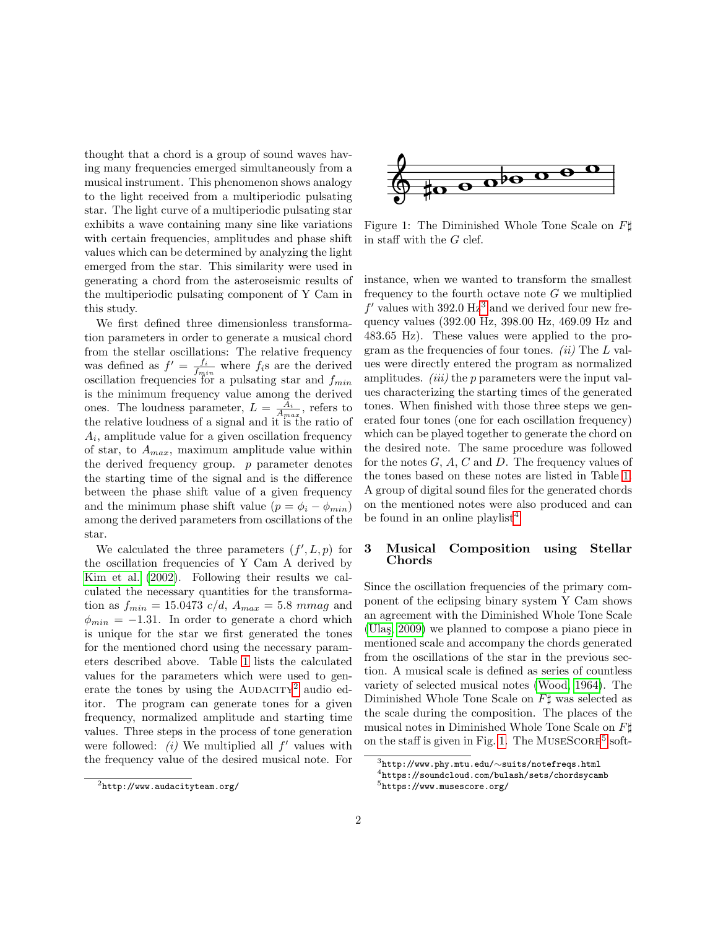thought that a chord is a group of sound waves having many frequencies emerged simultaneously from a musical instrument. This phenomenon shows analogy to the light received from a multiperiodic pulsating star. The light curve of a multiperiodic pulsating star exhibits a wave containing many sine like variations with certain frequencies, amplitudes and phase shift values which can be determined by analyzing the light emerged from the star. This similarity were used in generating a chord from the asteroseismic results of the multiperiodic pulsating component of Y Cam in this study.

We first defined three dimensionless transformation parameters in order to generate a musical chord from the stellar oscillations: The relative frequency was defined as  $f' = \frac{f_i}{f_{min}}$  where  $f_i$ s are the derived oscillation frequencies for a pulsating star and  $f_{min}$ is the minimum frequency value among the derived ones. The loudness parameter,  $L = \frac{A_i}{A_{max}}$ , refers to the relative loudness of a signal and it is the ratio of  $A_i$ , amplitude value for a given oscillation frequency of star, to  $A_{max}$ , maximum amplitude value within the derived frequency group.  $p$  parameter denotes the starting time of the signal and is the difference between the phase shift value of a given frequency and the minimum phase shift value  $(p = \phi_i - \phi_{min})$ among the derived parameters from oscillations of the star.

We calculated the three parameters  $(f', L, p)$  for the oscillation frequencies of Y Cam A derived by [Kim et al.](#page-5-3) [\(2002\)](#page-5-3). Following their results we calculated the necessary quantities for the transformation as  $f_{min} = 15.0473$  c/d,  $A_{max} = 5.8$  mmag and  $\phi_{min} = -1.31$ . In order to generate a chord which is unique for the star we first generated the tones for the mentioned chord using the necessary parameters described above. Table [1](#page-2-0) lists the calculated values for the parameters which were used to generate the tones by using the  $\text{AUDACITY}^2$  $\text{AUDACITY}^2$  audio editor. The program can generate tones for a given frequency, normalized amplitude and starting time values. Three steps in the process of tone generation were followed:  $(i)$  We multiplied all  $f'$  values with the frequency value of the desired musical note. For

<span id="page-1-3"></span>

Figure 1: The Diminished Whole Tone Scale on  $F\sharp$ in staff with the G clef.

instance, when we wanted to transform the smallest frequency to the fourth octave note  $G$  we multiplied  $f'$  values with [3](#page-1-1)92.0  $Hz^3$  and we derived four new frequency values (392.00 Hz, 398.00 Hz, 469.09 Hz and 483.65 Hz). These values were applied to the program as the frequencies of four tones. (ii) The  $L$  values were directly entered the program as normalized amplitudes. *(iii)* the  $p$  parameters were the input values characterizing the starting times of the generated tones. When finished with those three steps we generated four tones (one for each oscillation frequency) which can be played together to generate the chord on the desired note. The same procedure was followed for the notes  $G, A, C$  and  $D$ . The frequency values of the tones based on these notes are listed in Table [1.](#page-2-0) A group of digital sound files for the generated chords on the mentioned notes were also produced and can be found in an online playlist<sup>[4](#page-1-2)</sup>

# 3 Musical Composition using Stellar Chords

Since the oscillation frequencies of the primary component of the eclipsing binary system Y Cam shows an agreement with the Diminished Whole Tone Scale (Ulas, 2009) we planned to compose a piano piece in mentioned scale and accompany the chords generated from the oscillations of the star in the previous section. A musical scale is defined as series of countless variety of selected musical notes [\(Wood, 1964\)](#page-5-4). The Diminished Whole Tone Scale on  $F\sharp$  was selected as the scale during the composition. The places of the musical notes in Diminished Whole Tone Scale on  $F\sharp$ on the staff is given in Fig. [1.](#page-1-3) The MUSESCORE<sup>[5](#page-1-4)</sup> soft-

<span id="page-1-0"></span> $^{2}$ http://www.audacityteam.org/

<span id="page-1-2"></span><span id="page-1-1"></span> $^3$ http://www.phy.mtu.edu/ $\sim$ suits/notefreqs.html  $^4$ https://soundcloud.com/bulash/sets/chordsycamb

<span id="page-1-4"></span> $5$ https://www.musescore.org/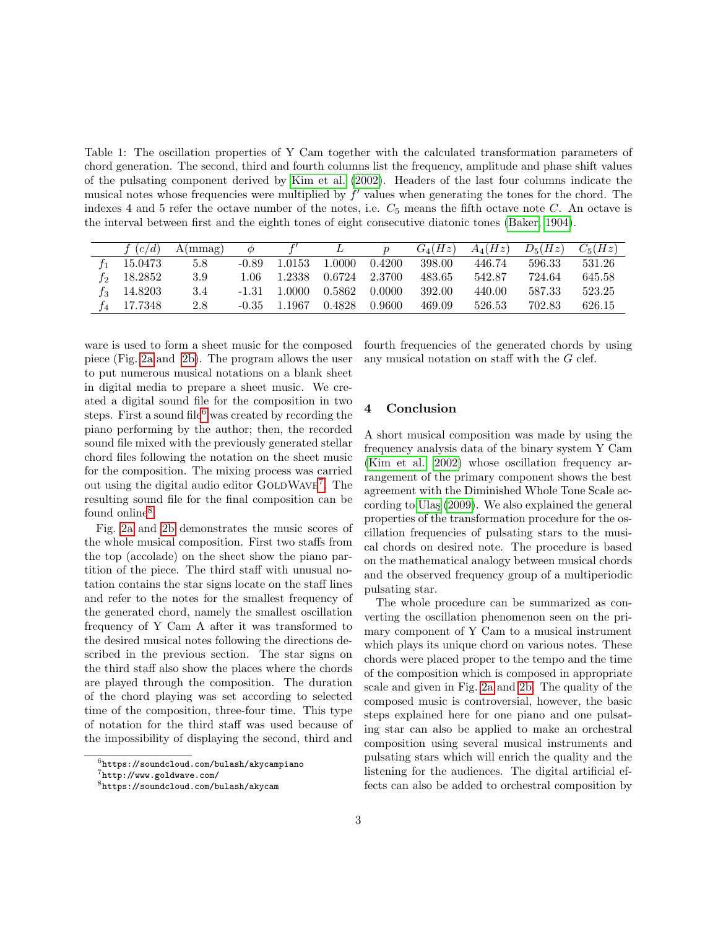<span id="page-2-0"></span>Table 1: The oscillation properties of Y Cam together with the calculated transformation parameters of chord generation. The second, third and fourth columns list the frequency, amplitude and phase shift values of the pulsating component derived by [Kim et al.](#page-5-3) [\(2002\)](#page-5-3). Headers of the last four columns indicate the musical notes whose frequencies were multiplied by  $f'$  values when generating the tones for the chord. The indexes 4 and 5 refer the octave number of the notes, i.e.  $C_5$  means the fifth octave note C. An octave is the interval between first and the eighth tones of eight consecutive diatonic tones [\(Baker, 1904\)](#page-5-5).

| f $(c/d)$ | A(mmag) | $\phi$  |        |        | $\boldsymbol{p}$ | $G_4(Hz)$ | $A_4(Hz)$ | $D_5(Hz)$ | $C_5(Hz)$ |
|-----------|---------|---------|--------|--------|------------------|-----------|-----------|-----------|-----------|
| 15.0473   | 5.8     | $-0.89$ | 1.0153 | 1.0000 | 0.4200           | 398.00    | 446.74    | 596.33    | 531.26    |
| 18.2852   | 3.9     | 1.06    | 1.2338 | 0.6724 | - 2.3700         | 483.65    | 542.87    | 724.64    | 645.58    |
| 14.8203   | 3.4     | -1.31   | 1.0000 | 0.5862 | -0.0000          | 392.00    | 440.00    | 587.33    | 523.25    |
| 17.7348   | 2.8     | -0.35   | 1.1967 | 0.4828 | -0.9600          | 469.09    | 526.53    | 702.83    | 626.15    |

ware is used to form a sheet music for the composed piece (Fig. [2a](#page-3-0) and [2b\)](#page-4-0). The program allows the user to put numerous musical notations on a blank sheet in digital media to prepare a sheet music. We created a digital sound file for the composition in two steps. First a sound file<sup>[6](#page-2-1)</sup> was created by recording the piano performing by the author; then, the recorded sound file mixed with the previously generated stellar chord files following the notation on the sheet music for the composition. The mixing process was carried out using the digital audio editor GOLDWAVE<sup>[7](#page-2-2)</sup>. The resulting sound file for the final composition can be found online<sup>[8](#page-2-3)</sup>.

Fig. [2a](#page-3-0) and [2b](#page-4-0) demonstrates the music scores of the whole musical composition. First two staffs from the top (accolade) on the sheet show the piano partition of the piece. The third staff with unusual notation contains the star signs locate on the staff lines and refer to the notes for the smallest frequency of the generated chord, namely the smallest oscillation frequency of Y Cam A after it was transformed to the desired musical notes following the directions described in the previous section. The star signs on the third staff also show the places where the chords are played through the composition. The duration of the chord playing was set according to selected time of the composition, three-four time. This type of notation for the third staff was used because of the impossibility of displaying the second, third and

fourth frequencies of the generated chords by using any musical notation on staff with the G clef.

#### 4 Conclusion

A short musical composition was made by using the frequency analysis data of the binary system Y Cam [\(Kim et al., 2002\)](#page-5-3) whose oscillation frequency arrangement of the primary component shows the best agreement with the Diminished Whole Tone Scale ac-cording to Ulaş [\(2009\)](#page-5-1). We also explained the general properties of the transformation procedure for the oscillation frequencies of pulsating stars to the musical chords on desired note. The procedure is based on the mathematical analogy between musical chords and the observed frequency group of a multiperiodic pulsating star.

The whole procedure can be summarized as converting the oscillation phenomenon seen on the primary component of Y Cam to a musical instrument which plays its unique chord on various notes. These chords were placed proper to the tempo and the time of the composition which is composed in appropriate scale and given in Fig. [2a](#page-3-0) and [2b.](#page-4-0) The quality of the composed music is controversial, however, the basic steps explained here for one piano and one pulsating star can also be applied to make an orchestral composition using several musical instruments and pulsating stars which will enrich the quality and the listening for the audiences. The digital artificial effects can also be added to orchestral composition by

<span id="page-2-1"></span> $6$ https://soundcloud.com/bulash/akycampiano

<span id="page-2-2"></span><sup>7</sup>http://www.goldwave.com/

<span id="page-2-3"></span><sup>8</sup>https://soundcloud.com/bulash/akycam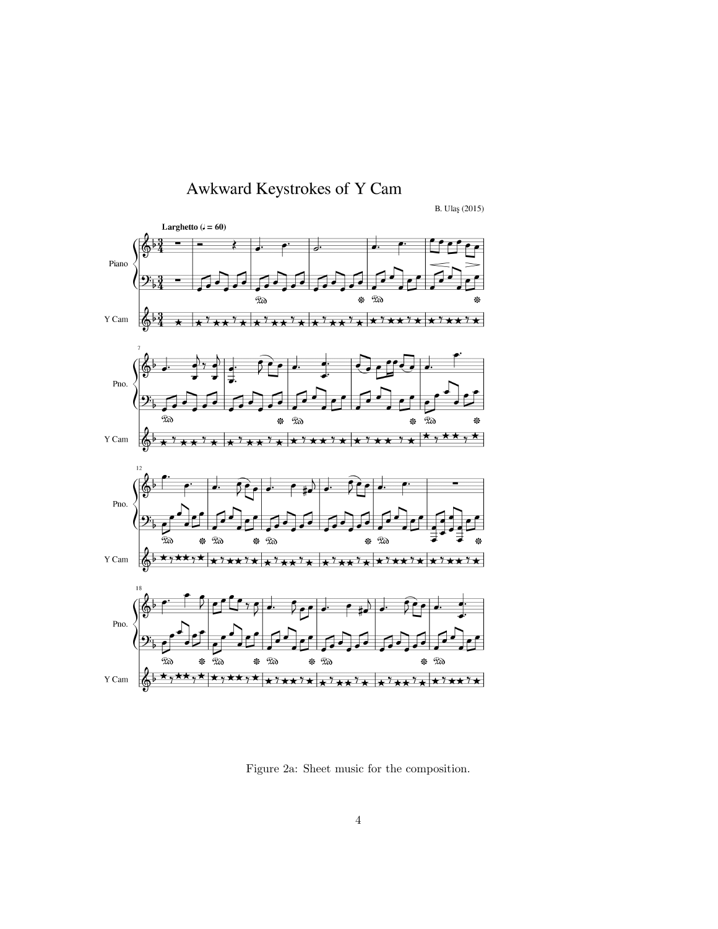<span id="page-3-0"></span>

Figure 2a: Sheet music for the composition.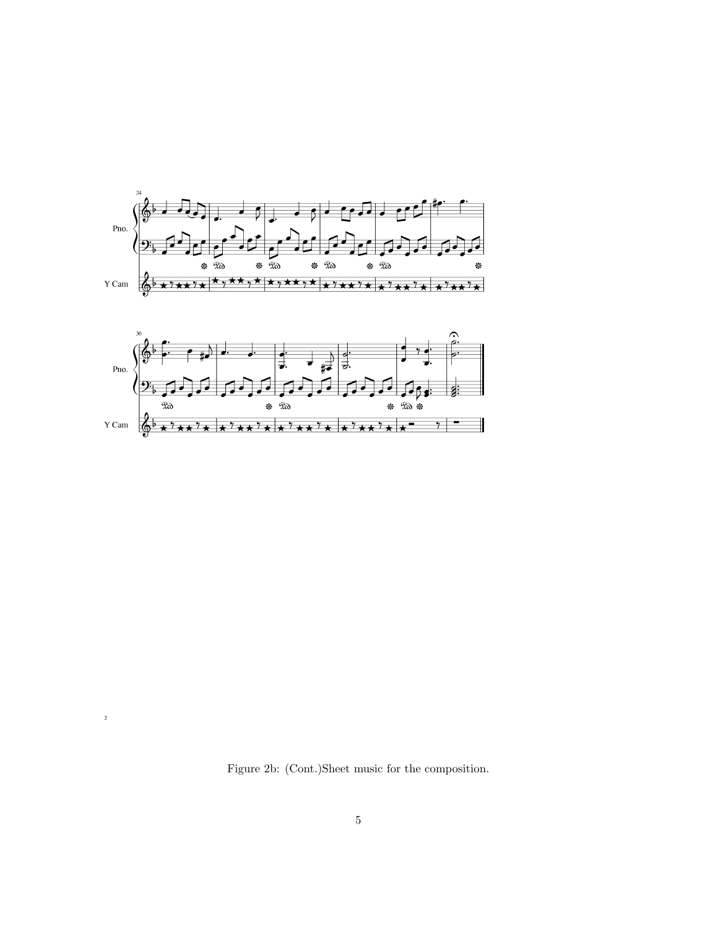<span id="page-4-0"></span>

Figure 2b: (Cont.)Sheet music for the composition.

 $\overline{\mathbf{2}}$